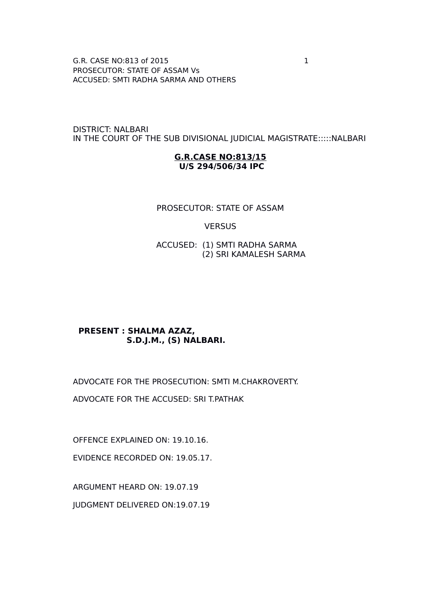G.R. CASE NO:813 of 2015 1 PROSECUTOR: STATE OF ASSAM Vs ACCUSED: SMTI RADHA SARMA AND OTHERS

DISTRICT: NALBARI IN THE COURT OF THE SUB DIVISIONAL JUDICIAL MAGISTRATE:::::NALBARI

#### **G.R.CASE NO:813/15 U/S 294/506/34 IPC**

### PROSECUTOR: STATE OF ASSAM

#### **VERSUS**

 ACCUSED: (1) SMTI RADHA SARMA (2) SRI KAMALESH SARMA

### **PRESENT : SHALMA AZAZ, S.D.J.M., (S) NALBARI.**

ADVOCATE FOR THE PROSECUTION: SMTI M.CHAKROVERTY.

ADVOCATE FOR THE ACCUSED: SRI T.PATHAK

OFFENCE EXPLAINED ON: 19.10.16.

EVIDENCE RECORDED ON: 19.05.17.

ARGUMENT HEARD ON: 19.07.19

JUDGMENT DELIVERED ON:19.07.19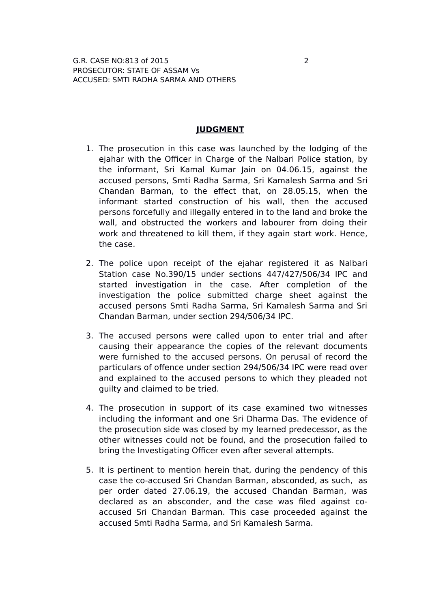### **JUDGMENT**

- 1. The prosecution in this case was launched by the lodging of the ejahar with the Officer in Charge of the Nalbari Police station, by the informant, Sri Kamal Kumar Jain on 04.06.15, against the accused persons, Smti Radha Sarma, Sri Kamalesh Sarma and Sri Chandan Barman, to the effect that, on 28.05.15, when the informant started construction of his wall, then the accused persons forcefully and illegally entered in to the land and broke the wall, and obstructed the workers and labourer from doing their work and threatened to kill them, if they again start work. Hence, the case.
- 2. The police upon receipt of the ejahar registered it as Nalbari Station case No.390/15 under sections 447/427/506/34 IPC and started investigation in the case. After completion of the investigation the police submitted charge sheet against the accused persons Smti Radha Sarma, Sri Kamalesh Sarma and Sri Chandan Barman, under section 294/506/34 IPC.
- 3. The accused persons were called upon to enter trial and after causing their appearance the copies of the relevant documents were furnished to the accused persons. On perusal of record the particulars of offence under section 294/506/34 IPC were read over and explained to the accused persons to which they pleaded not guilty and claimed to be tried.
- 4. The prosecution in support of its case examined two witnesses including the informant and one Sri Dharma Das. The evidence of the prosecution side was closed by my learned predecessor, as the other witnesses could not be found, and the prosecution failed to bring the Investigating Officer even after several attempts.
- 5. It is pertinent to mention herein that, during the pendency of this case the co-accused Sri Chandan Barman, absconded, as such, as per order dated 27.06.19, the accused Chandan Barman, was declared as an absconder, and the case was filed against coaccused Sri Chandan Barman. This case proceeded against the accused Smti Radha Sarma, and Sri Kamalesh Sarma.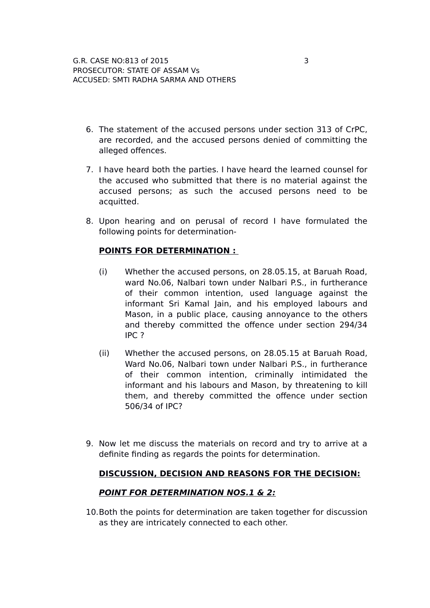- 6. The statement of the accused persons under section 313 of CrPC, are recorded, and the accused persons denied of committing the alleged offences.
- 7. I have heard both the parties. I have heard the learned counsel for the accused who submitted that there is no material against the accused persons; as such the accused persons need to be acquitted.
- 8. Upon hearing and on perusal of record I have formulated the following points for determination-

# **POINTS FOR DETERMINATION :**

- (i) Whether the accused persons, on 28.05.15, at Baruah Road, ward No.06, Nalbari town under Nalbari P.S., in furtherance of their common intention, used language against the informant Sri Kamal Jain, and his employed labours and Mason, in a public place, causing annoyance to the others and thereby committed the offence under section 294/34 IPC ?
- (ii) Whether the accused persons, on 28.05.15 at Baruah Road, Ward No.06, Nalbari town under Nalbari P.S., in furtherance of their common intention, criminally intimidated the informant and his labours and Mason, by threatening to kill them, and thereby committed the offence under section 506/34 of IPC?
- 9. Now let me discuss the materials on record and try to arrive at a definite finding as regards the points for determination.

# **DISCUSSION, DECISION AND REASONS FOR THE DECISION:**

# **POINT FOR DETERMINATION NOS.1 & 2:**

10.Both the points for determination are taken together for discussion as they are intricately connected to each other.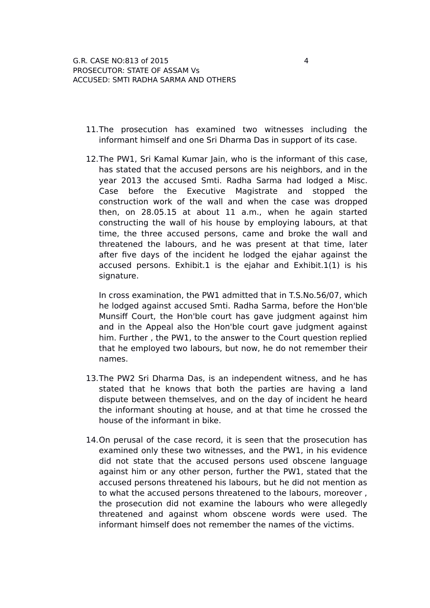- 11.The prosecution has examined two witnesses including the informant himself and one Sri Dharma Das in support of its case.
- 12.The PW1, Sri Kamal Kumar Jain, who is the informant of this case, has stated that the accused persons are his neighbors, and in the year 2013 the accused Smti. Radha Sarma had lodged a Misc. Case before the Executive Magistrate and stopped the construction work of the wall and when the case was dropped then, on 28.05.15 at about 11 a.m., when he again started constructing the wall of his house by employing labours, at that time, the three accused persons, came and broke the wall and threatened the labours, and he was present at that time, later after five days of the incident he lodged the ejahar against the accused persons. Exhibit.1 is the ejahar and Exhibit.1(1) is his signature.

In cross examination, the PW1 admitted that in T.S.No.56/07, which he lodged against accused Smti. Radha Sarma, before the Hon'ble Munsiff Court, the Hon'ble court has gave judgment against him and in the Appeal also the Hon'ble court gave judgment against him. Further , the PW1, to the answer to the Court question replied that he employed two labours, but now, he do not remember their names.

- 13.The PW2 Sri Dharma Das, is an independent witness, and he has stated that he knows that both the parties are having a land dispute between themselves, and on the day of incident he heard the informant shouting at house, and at that time he crossed the house of the informant in bike.
- 14.On perusal of the case record, it is seen that the prosecution has examined only these two witnesses, and the PW1, in his evidence did not state that the accused persons used obscene language against him or any other person, further the PW1, stated that the accused persons threatened his labours, but he did not mention as to what the accused persons threatened to the labours, moreover , the prosecution did not examine the labours who were allegedly threatened and against whom obscene words were used. The informant himself does not remember the names of the victims.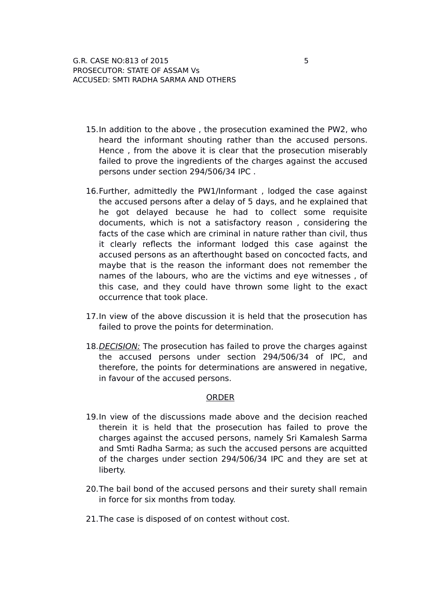- 15.In addition to the above , the prosecution examined the PW2, who heard the informant shouting rather than the accused persons. Hence , from the above it is clear that the prosecution miserably failed to prove the ingredients of the charges against the accused persons under section 294/506/34 IPC .
- 16.Further, admittedly the PW1/Informant , lodged the case against the accused persons after a delay of 5 days, and he explained that he got delayed because he had to collect some requisite documents, which is not a satisfactory reason , considering the facts of the case which are criminal in nature rather than civil, thus it clearly reflects the informant lodged this case against the accused persons as an afterthought based on concocted facts, and maybe that is the reason the informant does not remember the names of the labours, who are the victims and eye witnesses , of this case, and they could have thrown some light to the exact occurrence that took place.
- 17.In view of the above discussion it is held that the prosecution has failed to prove the points for determination.
- 18. DECISION: The prosecution has failed to prove the charges against the accused persons under section 294/506/34 of IPC, and therefore, the points for determinations are answered in negative, in favour of the accused persons.

### **ORDER**

- 19.In view of the discussions made above and the decision reached therein it is held that the prosecution has failed to prove the charges against the accused persons, namely Sri Kamalesh Sarma and Smti Radha Sarma; as such the accused persons are acquitted of the charges under section 294/506/34 IPC and they are set at liberty.
- 20.The bail bond of the accused persons and their surety shall remain in force for six months from today.
- 21.The case is disposed of on contest without cost.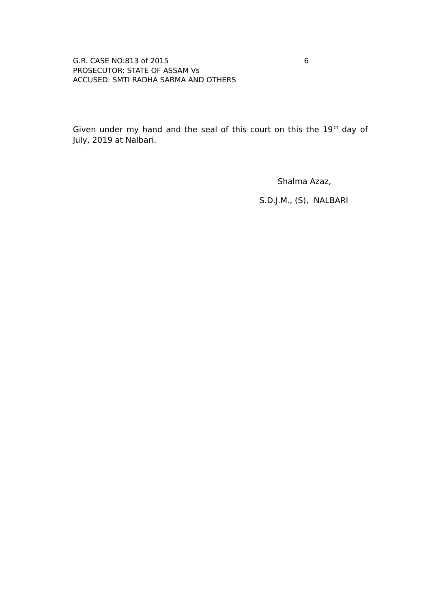### G.R. CASE NO:813 of 2015 6 PROSECUTOR: STATE OF ASSAM Vs ACCUSED: SMTI RADHA SARMA AND OTHERS

Given under my hand and the seal of this court on this the 19<sup>th</sup> day of July, 2019 at Nalbari.

Shalma Azaz,

S.D.J.M., (S), NALBARI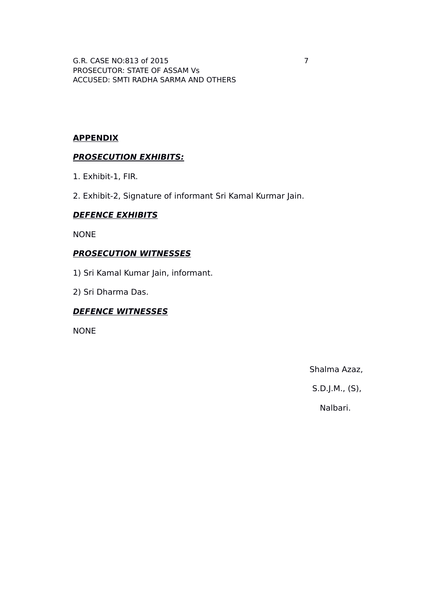G.R. CASE NO:813 of 2015 7 PROSECUTOR: STATE OF ASSAM Vs ACCUSED: SMTI RADHA SARMA AND OTHERS

# **APPENDIX**

# **PROSECUTION EXHIBITS:**

- 1. Exhibit-1, FIR.
- 2. Exhibit-2, Signature of informant Sri Kamal Kurmar Jain.

# **DEFENCE EXHIBITS**

NONE

# **PROSECUTION WITNESSES**

- 1) Sri Kamal Kumar Jain, informant.
- 2) Sri Dharma Das.

# **DEFENCE WITNESSES**

NONE

Shalma Azaz,

S.D.J.M., (S),

Nalbari.